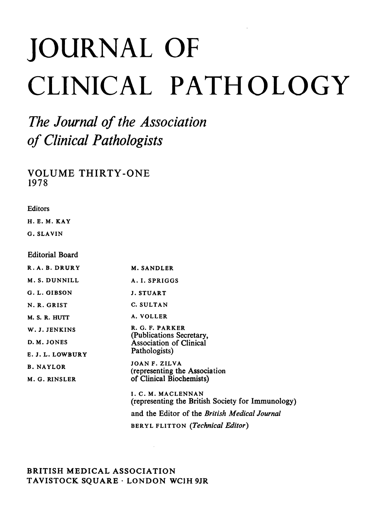# JOURNAL OF CLINICAL PATHOLOGY

The Journal of the Association of Clinical Pathologists

VOLUME THIRTY-ONE 1978

**Editors** 

H. E. M. KAY

G. SLAVIN

Editorial Board

| R.A.B.DRURY      | <b>M. SANDLER</b>                                                       |
|------------------|-------------------------------------------------------------------------|
| M. S. DUNNILL    | A. I. SPRIGGS                                                           |
| G. L. GIBSON     | <b>J. STUART</b>                                                        |
| N.R. GRIST       | C. SULTAN                                                               |
| M. S. R. HUTT    | A. VOLLER                                                               |
| W. J. JENKINS    | R. G. F. PARKER<br>(Publications Secretary,                             |
| D. M. JONES      | Association of Clinical                                                 |
| E.J.L.LOWBURY    | Pathologists)                                                           |
| <b>B. NAYLOR</b> | JOAN F. ZILVA<br>(representing the Association                          |
| M. G. RINSLER    | of Clinical Biochemists)                                                |
|                  | I. C. M. MACLENNAN<br>(representing the British Society for Immunology) |
|                  | and the Editor of the British Medical Journal                           |
|                  | BERYL FLITTON ( <i>Technical Editor</i> )                               |

 $\sim 10^7$ 

## BRITISH MEDICAL ASSOCIATION TAVISTOCK SQUARE - LONDON WCIH 9JR